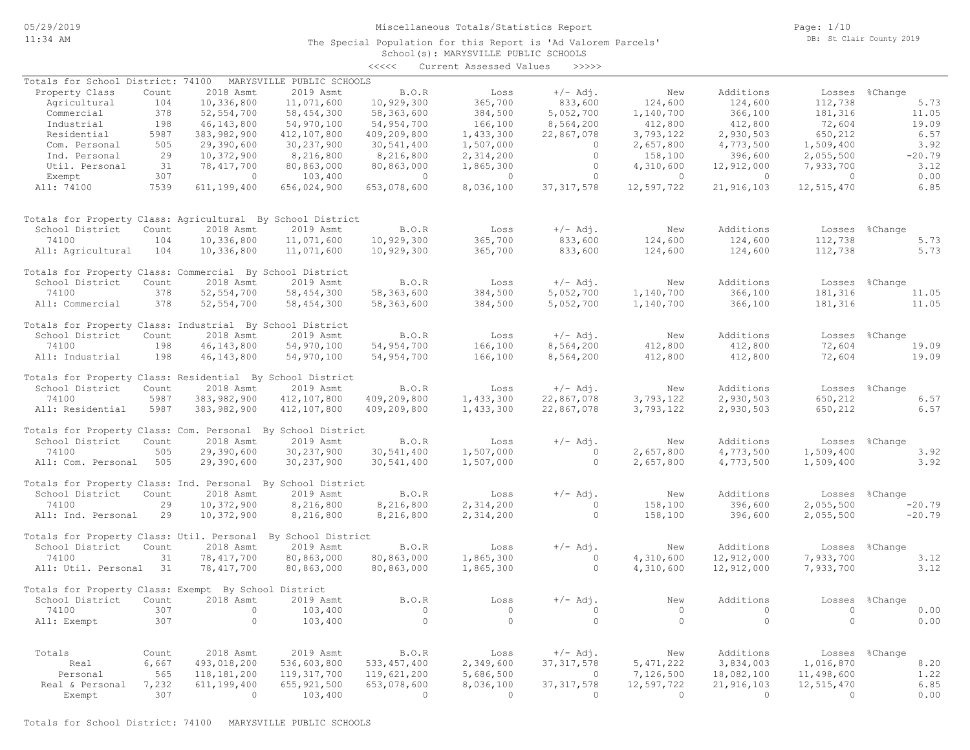The Special Population for this Report is 'Ad Valorem Parcels'

Page: 1/10 DB: St Clair County 2019

# School(s): MARYSVILLE PUBLIC SCHOOLS <<<<< Current Assessed Values >>>>>

| Totals for School District: 74100                            |       |                | MARYSVILLE PUBLIC SCHOOLS |                |                |                |                |                |                                                            |                |
|--------------------------------------------------------------|-------|----------------|---------------------------|----------------|----------------|----------------|----------------|----------------|------------------------------------------------------------|----------------|
| Property Class                                               | Count | 2018 Asmt      | 2019 Asmt                 | B.O.R          | Loss           | $+/-$ Adj.     | New            | Additions      |                                                            | Losses %Change |
| Agricultural                                                 | 104   | 10,336,800     | 11,071,600                | 10,929,300     | 365,700        | 833,600        | 124,600        | 124,600        | 112,738                                                    | 5.73           |
| Commercial                                                   | 378   | 52, 554, 700   | 58, 454, 300              | 58,363,600     | 384,500        | 5,052,700      | 1,140,700      | 366,100        | 181,316                                                    | 11.05          |
| Industrial                                                   | 198   | 46, 143, 800   | 54,970,100                | 54,954,700     | 166,100        | 8,564,200      | 412,800        | 412,800        | 72,604                                                     | 19.09          |
| Residential                                                  | 5987  |                | 412,107,800               |                |                |                | 3,793,122      | 2,930,503      | 650,212                                                    | 6.57           |
|                                                              |       | 383,982,900    |                           | 409,209,800    | 1,433,300      | 22,867,078     |                |                |                                                            |                |
| Com. Personal                                                | 505   | 29,390,600     | 30,237,900                | 30,541,400     | 1,507,000      | $\circ$        | 2,657,800      | 4,773,500      | 1,509,400                                                  | 3.92           |
| Ind. Personal                                                | 29    | 10,372,900     | 8,216,800                 | 8,216,800      | 2,314,200      | $\Omega$       | 158,100        | 396,600        | 2,055,500                                                  | $-20.79$       |
| Util. Personal                                               | 31    | 78, 417, 700   | 80,863,000                | 80,863,000     | 1,865,300      | $\circ$        | 4,310,600      | 12,912,000     | 7,933,700                                                  | 3.12           |
| Exempt                                                       | 307   | $\sim$ 0       | 103,400                   | $\sim$ 0       | $\sim$ 0       | $\Omega$       | $\overline{a}$ | $\overline{0}$ | $\sim$ 0.000 $\sim$ 0.000 $\sim$ 0.000 $\sim$ 0.000 $\sim$ | 0.00           |
| All: 74100                                                   | 7539  | 611,199,400    | 656,024,900               | 653,078,600    | 8,036,100      | 37, 317, 578   | 12,597,722     | 21,916,103     | 12,515,470                                                 | 6.85           |
|                                                              |       |                |                           |                |                |                |                |                |                                                            |                |
| Totals for Property Class: Agricultural By School District   |       |                |                           |                |                |                |                |                |                                                            |                |
| School District                                              | Count | 2018 Asmt      | 2019 Asmt                 | B.O.R          | Loss           | $+/-$ Adj.     | New            | Additions      |                                                            | Losses %Change |
|                                                              |       |                |                           |                |                |                |                |                |                                                            |                |
| 74100                                                        | 104   | 10,336,800     | 11,071,600                | 10,929,300     | 365,700        | 833,600        | 124,600        | 124,600        | 112,738                                                    | 5.73           |
| All: Agricultural                                            | 104   | 10,336,800     | 11,071,600                | 10,929,300     | 365,700        | 833,600        | 124,600        | 124,600        | 112,738                                                    | 5.73           |
| Totals for Property Class: Commercial By School District     |       |                |                           |                |                |                |                |                |                                                            |                |
| School District                                              | Count | 2018 Asmt      | 2019 Asmt                 | B.O.R          | Loss           | $+/-$ Adj.     | New            | Additions      |                                                            | Losses %Change |
| 74100                                                        | 378   | 52, 554, 700   | 58,454,300                | 58,363,600     | 384,500        | 5,052,700      | 1,140,700      | 366,100        | 181,316                                                    | 11.05          |
| All: Commercial                                              | 378   | 52, 554, 700   | 58,454,300                | 58,363,600     | 384,500        | 5,052,700      | 1,140,700      | 366,100        | 181,316                                                    | 11.05          |
|                                                              |       |                |                           |                |                |                |                |                |                                                            |                |
| Totals for Property Class: Industrial By School District     |       |                |                           |                |                |                |                |                |                                                            |                |
| School District                                              | Count | 2018 Asmt      | 2019 Asmt                 | B.O.R          | Loss           | $+/-$ Adj.     | New            | Additions      |                                                            | Losses %Change |
| 74100                                                        | 198   | 46, 143, 800   | 54,970,100                | 54,954,700     | 166,100        | 8,564,200      | 412,800        | 412,800        | 72,604                                                     | 19.09          |
| All: Industrial                                              | 198   | 46, 143, 800   | 54,970,100                | 54,954,700     | 166,100        | 8,564,200      | 412,800        | 412,800        | 72,604                                                     | 19.09          |
|                                                              |       |                |                           |                |                |                |                |                |                                                            |                |
| Totals for Property Class: Residential By School District    |       |                |                           |                |                |                |                |                |                                                            |                |
| School District                                              | Count | 2018 Asmt      | 2019 Asmt                 | B.O.R          | Loss           | $+/-$ Adj.     | New            | Additions      |                                                            | Losses %Change |
| 74100                                                        | 5987  | 383,982,900    | 412,107,800               | 409,209,800    | 1,433,300      | 22,867,078     | 3,793,122      | 2,930,503      | 650,212                                                    | 6.57           |
| All: Residential                                             | 5987  | 383,982,900    | 412,107,800               | 409,209,800    | 1,433,300      | 22,867,078     | 3,793,122      | 2,930,503      | 650,212                                                    | 6.57           |
| Totals for Property Class: Com. Personal By School District  |       |                |                           |                |                |                |                |                |                                                            |                |
|                                                              |       |                | 2019 Asmt                 |                |                |                |                |                |                                                            |                |
| School District                                              | Count | 2018 Asmt      |                           | B.O.R          | Loss           | $+/-$ Adj.     | New            | Additions      |                                                            | Losses %Change |
| 74100                                                        | 505   | 29,390,600     | 30,237,900                | 30,541,400     | 1,507,000      | $\overline{0}$ | 2,657,800      | 4,773,500      | 1,509,400                                                  | 3.92           |
| All: Com. Personal 505                                       |       | 29,390,600     | 30,237,900                | 30,541,400     | 1,507,000      | $\overline{0}$ | 2,657,800      | 4,773,500      | 1,509,400                                                  | 3.92           |
| Totals for Property Class: Ind. Personal By School District  |       |                |                           |                |                |                |                |                |                                                            |                |
| School District                                              | Count | 2018 Asmt      | 2019 Asmt                 | B.O.R          | Loss           | $+/-$ Adj.     | New            | Additions      |                                                            | Losses %Change |
| 74100                                                        | 29    | 10,372,900     | 8,216,800                 | 8,216,800      | 2,314,200      | $\circ$        | 158,100        | 396,600        | 2,055,500                                                  | $-20.79$       |
|                                                              |       |                |                           |                |                |                |                |                |                                                            |                |
| All: Ind. Personal                                           | 29    | 10,372,900     | 8,216,800                 | 8,216,800      | 2,314,200      | $\circ$        | 158,100        | 396,600        | 2,055,500                                                  | $-20.79$       |
| Totals for Property Class: Util. Personal By School District |       |                |                           |                |                |                |                |                |                                                            |                |
| School District                                              | Count | 2018 Asmt      | 2019 Asmt                 | B.O.R          | Loss           | $+/-$ Adj.     | New            | Additions      |                                                            | Losses %Change |
| 74100                                                        | 31    | 78, 417, 700   | 80,863,000                | 80,863,000     | 1,865,300      | $\overline{0}$ | 4,310,600      | 12,912,000     | 7,933,700                                                  | 3.12           |
| All: Util. Personal 31                                       |       | 78,417,700     | 80,863,000                | 80,863,000     | 1,865,300      | $\Omega$       | 4,310,600      | 12,912,000     | 7,933,700                                                  | 3.12           |
|                                                              |       |                |                           |                |                |                |                |                |                                                            |                |
| Totals for Property Class: Exempt By School District         |       |                |                           |                |                |                |                |                |                                                            |                |
| School District                                              | Count | 2018 Asmt      | 2019 Asmt                 | B.O.R          | Loss           | $+/-$ Adj.     | New            | Additions      |                                                            | Losses %Change |
| 74100                                                        | 307   | $\overline{0}$ | 103,400                   | $\overline{0}$ | $\overline{0}$ | $\circ$        | $\overline{0}$ | $\overline{0}$ | $\overline{0}$                                             | 0.00           |
| All: Exempt                                                  | 307   | $\overline{0}$ | 103,400                   | $\circ$        | $\overline{0}$ | $\circ$        | $\overline{0}$ | $\circ$        | $\circ$                                                    | 0.00           |
|                                                              |       |                |                           |                |                |                |                |                |                                                            |                |
|                                                              |       |                |                           |                |                |                |                |                |                                                            |                |
| Totals                                                       | Count | 2018 Asmt      | 2019 Asmt                 | B.O.R          | Loss           | $+/-$ Adj.     | New            | Additions      |                                                            | Losses %Change |
| Real                                                         | 6,667 | 493,018,200    | 536,603,800               | 533, 457, 400  | 2,349,600      | 37, 317, 578   | 5, 471, 222    | 3,834,003      | 1,016,870                                                  | 8.20           |
| Personal                                                     | 565   | 118, 181, 200  | 119, 317, 700             | 119,621,200    | 5,686,500      | $\overline{0}$ | 7,126,500      | 18,082,100     | 11,498,600                                                 | 1.22           |
| Real & Personal                                              | 7,232 | 611, 199, 400  | 655, 921, 500             | 653,078,600    | 8,036,100      | 37, 317, 578   | 12,597,722     | 21,916,103     | 12,515,470                                                 | 6.85           |
| Exempt                                                       | 307   | $\overline{0}$ | 103,400                   | $\sim$ 0       | $\overline{0}$ | $\overline{0}$ | $\overline{0}$ | $\overline{0}$ | $\bigcirc$                                                 | 0.00           |
|                                                              |       |                |                           |                |                |                |                |                |                                                            |                |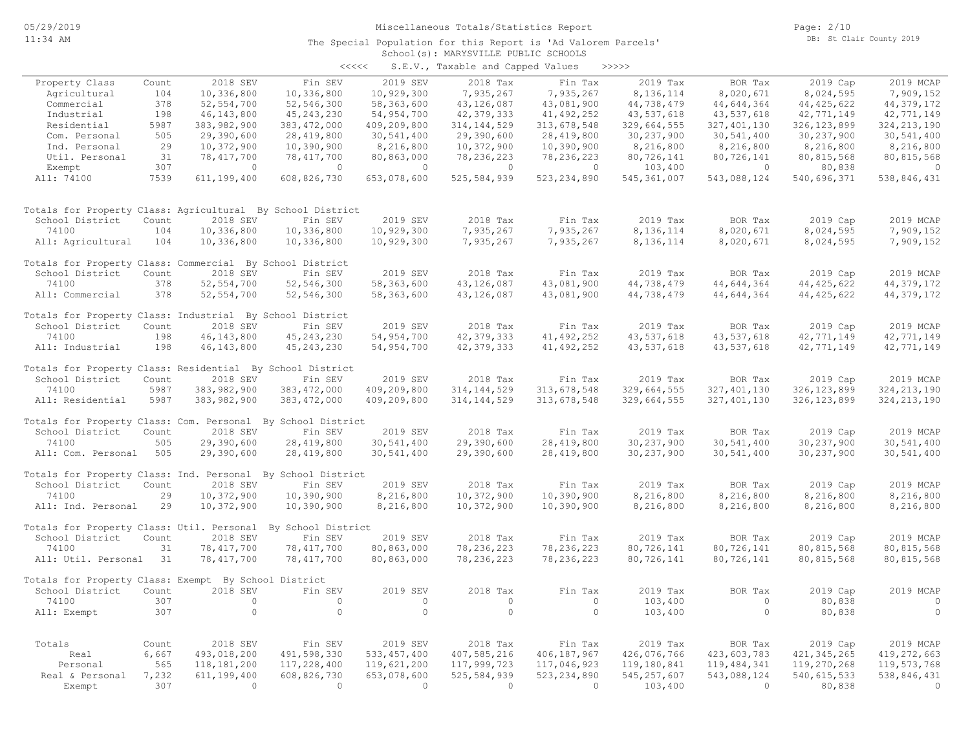#### School(s): MARYSVILLE PUBLIC SCHOOLS The Special Population for this Report is 'Ad Valorem Parcels'

|                                                              |       |               |               | <<<<           | S.E.V., Taxable and Capped Values |               | >>>>>         |               |               |                |
|--------------------------------------------------------------|-------|---------------|---------------|----------------|-----------------------------------|---------------|---------------|---------------|---------------|----------------|
| Property Class                                               | Count | 2018 SEV      | Fin SEV       | 2019 SEV       | 2018 Tax                          | Fin Tax       | 2019 Tax      | BOR Tax       | 2019 Cap      | 2019 MCAP      |
| Agricultural                                                 | 104   | 10,336,800    | 10,336,800    | 10,929,300     | 7,935,267                         | 7,935,267     | 8,136,114     | 8,020,671     | 8,024,595     | 7,909,152      |
| Commercial                                                   | 378   | 52, 554, 700  | 52,546,300    | 58,363,600     | 43, 126, 087                      | 43,081,900    | 44,738,479    | 44,644,364    | 44, 425, 622  | 44, 379, 172   |
| Industrial                                                   | 198   | 46, 143, 800  | 45, 243, 230  | 54, 954, 700   | 42, 379, 333                      | 41, 492, 252  | 43,537,618    | 43,537,618    | 42,771,149    | 42,771,149     |
| Residential                                                  | 5987  | 383,982,900   | 383, 472, 000 | 409,209,800    | 314, 144, 529                     | 313,678,548   | 329,664,555   | 327, 401, 130 | 326, 123, 899 | 324, 213, 190  |
| Com. Personal                                                | 505   | 29,390,600    | 28,419,800    | 30,541,400     | 29,390,600                        | 28,419,800    | 30,237,900    | 30,541,400    | 30,237,900    | 30,541,400     |
| Ind. Personal                                                | 29    | 10,372,900    | 10,390,900    | 8,216,800      | 10,372,900                        | 10,390,900    | 8,216,800     | 8,216,800     | 8,216,800     | 8,216,800      |
| Util. Personal                                               | 31    | 78, 417, 700  | 78, 417, 700  | 80,863,000     | 78, 236, 223                      | 78, 236, 223  | 80,726,141    | 80,726,141    | 80,815,568    | 80, 815, 568   |
| Exempt                                                       | 307   | $\bigcirc$    | $\bigcirc$    | $\overline{0}$ | $\bigcirc$                        | $\circ$       | 103,400       | $\circ$       | 80,838        | $\overline{0}$ |
| All: 74100                                                   | 7539  | 611,199,400   | 608,826,730   | 653,078,600    | 525,584,939                       | 523, 234, 890 | 545, 361, 007 | 543,088,124   | 540,696,371   | 538,846,431    |
|                                                              |       |               |               |                |                                   |               |               |               |               |                |
| Totals for Property Class: Agricultural By School District   |       |               |               |                |                                   |               |               |               |               |                |
| School District                                              | Count | 2018 SEV      | Fin SEV       | 2019 SEV       | 2018 Tax                          | Fin Tax       | 2019 Tax      | BOR Tax       | 2019 Cap      | 2019 MCAP      |
| 74100                                                        | 104   | 10,336,800    | 10,336,800    | 10,929,300     | 7,935,267                         | 7,935,267     | 8,136,114     | 8,020,671     | 8,024,595     | 7,909,152      |
| All: Agricultural                                            | 104   | 10,336,800    | 10,336,800    | 10,929,300     | 7,935,267                         | 7,935,267     | 8,136,114     | 8,020,671     | 8,024,595     | 7,909,152      |
| Totals for Property Class: Commercial By School District     |       |               |               |                |                                   |               |               |               |               |                |
| School District                                              | Count | 2018 SEV      | Fin SEV       | 2019 SEV       | 2018 Tax                          | Fin Tax       | 2019 Tax      | BOR Tax       | 2019 Cap      | 2019 MCAP      |
| 74100                                                        | 378   | 52, 554, 700  | 52, 546, 300  | 58,363,600     | 43, 126, 087                      | 43,081,900    | 44,738,479    | 44,644,364    | 44, 425, 622  | 44, 379, 172   |
| All: Commercial                                              | 378   | 52, 554, 700  | 52, 546, 300  | 58,363,600     | 43,126,087                        | 43,081,900    | 44,738,479    | 44,644,364    | 44, 425, 622  | 44, 379, 172   |
| Totals for Property Class: Industrial By School District     |       |               |               |                |                                   |               |               |               |               |                |
| School District                                              | Count | 2018 SEV      | Fin SEV       | 2019 SEV       | 2018 Tax                          | Fin Tax       | 2019 Tax      | BOR Tax       | 2019 Cap      | 2019 MCAP      |
| 74100                                                        | 198   | 46, 143, 800  | 45, 243, 230  | 54, 954, 700   | 42, 379, 333                      | 41, 492, 252  | 43,537,618    | 43,537,618    | 42,771,149    | 42,771,149     |
| All: Industrial                                              | 198   | 46, 143, 800  | 45, 243, 230  | 54,954,700     | 42, 379, 333                      | 41, 492, 252  | 43,537,618    | 43,537,618    | 42,771,149    | 42,771,149     |
| Totals for Property Class: Residential By School District    |       |               |               |                |                                   |               |               |               |               |                |
| School District                                              | Count | 2018 SEV      | Fin SEV       | 2019 SEV       | 2018 Tax                          | Fin Tax       | 2019 Tax      | BOR Tax       | 2019 Cap      | 2019 MCAP      |
| 74100                                                        | 5987  | 383, 982, 900 | 383, 472, 000 | 409,209,800    | 314, 144, 529                     | 313,678,548   | 329,664,555   | 327, 401, 130 | 326, 123, 899 | 324, 213, 190  |
| All: Residential                                             | 5987  | 383,982,900   | 383, 472, 000 | 409,209,800    | 314, 144, 529                     | 313,678,548   | 329,664,555   | 327, 401, 130 | 326, 123, 899 | 324, 213, 190  |
| Totals for Property Class: Com. Personal By School District  |       |               |               |                |                                   |               |               |               |               |                |
| School District                                              | Count | 2018 SEV      | Fin SEV       | 2019 SEV       | 2018 Tax                          | Fin Tax       | 2019 Tax      | BOR Tax       | 2019 Cap      | 2019 MCAP      |
| 74100                                                        | 505   | 29,390,600    | 28, 419, 800  | 30,541,400     | 29,390,600                        | 28, 419, 800  | 30,237,900    | 30,541,400    | 30, 237, 900  | 30,541,400     |
| All: Com. Personal                                           | 505   | 29,390,600    | 28, 419, 800  | 30,541,400     | 29,390,600                        | 28,419,800    | 30,237,900    | 30,541,400    | 30,237,900    | 30,541,400     |
| Totals for Property Class: Ind. Personal By School District  |       |               |               |                |                                   |               |               |               |               |                |
| School District                                              | Count | 2018 SEV      | Fin SEV       | 2019 SEV       | 2018 Tax                          | Fin Tax       | 2019 Tax      | BOR Tax       | 2019 Cap      | 2019 MCAP      |
| 74100                                                        | 29    | 10,372,900    | 10,390,900    | 8,216,800      | 10,372,900                        | 10,390,900    | 8,216,800     | 8,216,800     | 8,216,800     | 8,216,800      |
| All: Ind. Personal                                           | 29    | 10,372,900    | 10,390,900    | 8,216,800      | 10,372,900                        | 10,390,900    | 8,216,800     | 8,216,800     | 8,216,800     | 8,216,800      |
| Totals for Property Class: Util. Personal By School District |       |               |               |                |                                   |               |               |               |               |                |
| School District                                              | Count | 2018 SEV      | Fin SEV       | 2019 SEV       | 2018 Tax                          | Fin Tax       | 2019 Tax      | BOR Tax       | 2019 Cap      | 2019 MCAP      |
| 74100                                                        | 31    | 78, 417, 700  | 78, 417, 700  | 80,863,000     | 78, 236, 223                      | 78, 236, 223  | 80,726,141    | 80,726,141    | 80, 815, 568  | 80, 815, 568   |
| All: Util. Personal 31                                       |       | 78, 417, 700  | 78, 417, 700  | 80,863,000     | 78, 236, 223                      | 78, 236, 223  | 80,726,141    | 80,726,141    | 80, 815, 568  | 80, 815, 568   |
| Totals for Property Class: Exempt By School District         |       |               |               |                |                                   |               |               |               |               |                |
| School District                                              | Count | 2018 SEV      | Fin SEV       | 2019 SEV       | 2018 Tax                          | Fin Tax       | 2019 Tax      | BOR Tax       | 2019 Cap      | 2019 MCAP      |
| 74100                                                        | 307   | $\circ$       | $\circ$       | $\circ$        | $\circ$                           | $\circ$       | 103,400       | $\circ$       | 80,838        | $\circ$        |
| All: Exempt                                                  | 307   | $\circ$       | $\circ$       | $\circ$        | $\circ$                           | $\circ$       | 103,400       | $\circ$       | 80,838        | $\circ$        |
|                                                              |       |               |               |                |                                   |               |               |               |               |                |
|                                                              |       |               |               |                |                                   |               |               |               |               |                |

 Exempt 307 0 0 0 0 0 103,400 0 80,838 0 Real & Personal 7,232 611,199,400 608,826,730 653,078,600 525,584,939 523,234,890 545,257,607 543,088,124 540,615,533 538,846,431 Personal 565 118,181,200 117,228,400 119,621,200 117,999,723 117,046,923 119,180,841 119,484,341 119,270,268 119,573,768 Real 6,667 493,018,200 491,598,330 533,457,400 407,585,216 406,187,967 426,076,766 423,603,783 421,345,265 419,272,663 Totals Count 2018 SEV Fin SEV 2019 SEV 2018 Tax Fin Tax 2019 Tax BOR Tax 2019 Cap 2019 MCAP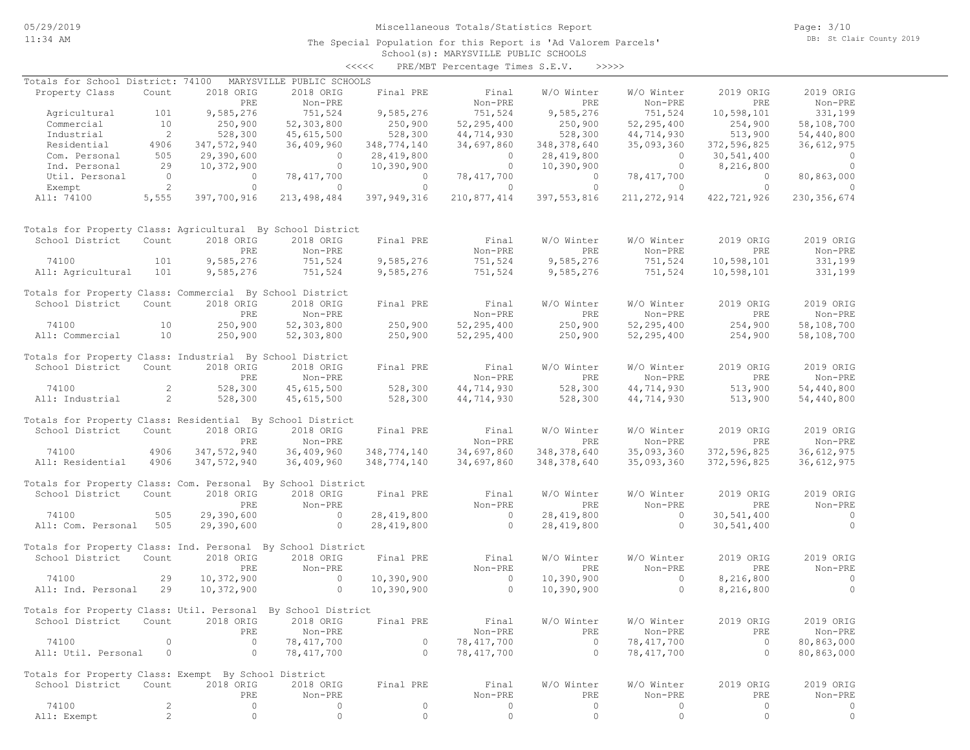The Special Population for this Report is 'Ad Valorem Parcels'

Page: 3/10 DB: St Clair County 2019

### School(s): MARYSVILLE PUBLIC SCHOOLS <<<<< PRE/MBT Percentage Times S.E.V. >>>>>

| Totals for School District: 74100                            |                |             | MARYSVILLE PUBLIC SCHOOLS |             |              |               |               |                |                |
|--------------------------------------------------------------|----------------|-------------|---------------------------|-------------|--------------|---------------|---------------|----------------|----------------|
| Property Class                                               | Count          | 2018 ORIG   | 2018 ORIG                 | Final PRE   | Final        | W/O Winter    | W/O Winter    | 2019 ORIG      | 2019 ORIG      |
|                                                              |                | PRE         | Non-PRE                   |             | Non-PRE      | PRE           | Non-PRE       | PRE            | Non-PRE        |
| Agricultural                                                 | 101            | 9,585,276   | 751,524                   | 9,585,276   | 751,524      | 9,585,276     | 751,524       | 10,598,101     | 331,199        |
| Commercial                                                   | 10             | 250,900     | 52,303,800                | 250,900     | 52,295,400   | 250,900       | 52,295,400    | 254,900        | 58,108,700     |
| Industrial                                                   | 2              | 528,300     | 45,615,500                | 528,300     | 44,714,930   | 528,300       | 44,714,930    | 513,900        | 54,440,800     |
| Residential                                                  | 4906           | 347,572,940 | 36,409,960                | 348,774,140 | 34,697,860   | 348, 378, 640 | 35,093,360    | 372,596,825    | 36,612,975     |
| Com. Personal                                                | 505            | 29,390,600  | $\circ$                   | 28,419,800  | $\circ$      | 28,419,800    | $\circ$       | 30,541,400     | $\overline{0}$ |
| Ind. Personal                                                | 29             | 10,372,900  | $\circ$                   | 10,390,900  | $\circ$      | 10,390,900    | $\circ$       | 8,216,800      | $\circ$        |
| Util. Personal                                               | $\overline{0}$ | $\circ$     | 78,417,700                | $\circ$     | 78,417,700   | $\circ$       | 78,417,700    | $\overline{0}$ | 80,863,000     |
| Exempt                                                       | 2              | $\circ$     | $\circ$                   | $\circ$     | $\circ$      | $\circ$       | $\circ$       | $\circ$        | $\Omega$       |
| All: 74100                                                   | 5,555          | 397,700,916 | 213, 498, 484             | 397,949,316 | 210,877,414  | 397, 553, 816 | 211, 272, 914 | 422,721,926    | 230, 356, 674  |
| Totals for Property Class: Agricultural By School District   |                |             |                           |             |              |               |               |                |                |
| School District                                              | Count          | 2018 ORIG   | 2018 ORIG                 | Final PRE   | Final        | W/O Winter    | W/O Winter    | 2019 ORIG      | 2019 ORIG      |
|                                                              |                | PRE         | Non-PRE                   |             | Non-PRE      | PRE           | Non-PRE       | PRE            | Non-PRE        |
| 74100                                                        | 101            | 9,585,276   | 751,524                   | 9,585,276   | 751,524      | 9,585,276     | 751,524       | 10,598,101     | 331,199        |
| All: Agricultural                                            | 101            | 9,585,276   | 751,524                   | 9,585,276   | 751,524      | 9,585,276     | 751,524       | 10,598,101     | 331,199        |
| Totals for Property Class: Commercial By School District     |                |             |                           |             |              |               |               |                |                |
| School District                                              | Count          | 2018 ORIG   | 2018 ORIG                 | Final PRE   | Final        | W/O Winter    | W/O Winter    | 2019 ORIG      | 2019 ORIG      |
|                                                              |                | PRE         | Non-PRE                   |             | Non-PRE      | PRE           | Non-PRE       | PRE            | Non-PRE        |
| 74100                                                        | 10             | 250,900     | 52,303,800                | 250,900     | 52, 295, 400 | 250,900       | 52, 295, 400  | 254,900        | 58,108,700     |
| All: Commercial                                              | 10             | 250,900     | 52,303,800                | 250,900     | 52, 295, 400 | 250,900       | 52,295,400    | 254,900        | 58,108,700     |
| Totals for Property Class: Industrial By School District     |                |             |                           |             |              |               |               |                |                |
| School District                                              | Count          | 2018 ORIG   | 2018 ORIG                 | Final PRE   | Final        | W/O Winter    | W/O Winter    | 2019 ORIG      | 2019 ORIG      |
|                                                              |                | PRE         | Non-PRE                   |             | Non-PRE      | PRE           | Non-PRE       | PRE            | Non-PRE        |
| 74100                                                        | $\overline{2}$ | 528,300     | 45,615,500                | 528,300     | 44,714,930   | 528,300       | 44,714,930    | 513,900        | 54,440,800     |
| All: Industrial                                              | $\overline{2}$ | 528,300     | 45,615,500                | 528,300     | 44,714,930   | 528,300       | 44,714,930    | 513,900        | 54,440,800     |
|                                                              |                |             |                           |             |              |               |               |                |                |
| Totals for Property Class: Residential By School District    |                |             |                           |             |              |               |               |                |                |
| School District                                              | Count          | 2018 ORIG   | 2018 ORIG                 | Final PRE   | Final        | W/O Winter    | W/O Winter    | 2019 ORIG      | 2019 ORIG      |
|                                                              |                | PRE         | Non-PRE                   |             | Non-PRE      | PRE           | Non-PRE       | PRE            | Non-PRE        |
| 74100                                                        | 4906           | 347,572,940 | 36,409,960                | 348,774,140 | 34,697,860   | 348, 378, 640 | 35,093,360    | 372,596,825    | 36, 612, 975   |
| All: Residential                                             | 4906           | 347,572,940 | 36,409,960                | 348,774,140 | 34,697,860   | 348, 378, 640 | 35,093,360    | 372,596,825    | 36,612,975     |
|                                                              |                |             |                           |             |              |               |               |                |                |
| Totals for Property Class: Com. Personal By School District  |                |             |                           |             |              |               |               |                |                |
| School District                                              | Count          | 2018 ORIG   | 2018 ORIG                 | Final PRE   | Final        | W/O Winter    | W/O Winter    | 2019 ORIG      | 2019 ORIG      |
|                                                              |                | PRE         | Non-PRE                   |             | Non-PRE      | PRE           | Non-PRE       | PRE            | Non-PRE        |
| 74100                                                        | 505            | 29,390,600  | $\circ$                   | 28,419,800  | $\circ$      | 28,419,800    | $\circ$       | 30,541,400     | $\overline{0}$ |
| All: Com. Personal                                           | 505            | 29,390,600  | $\circ$                   | 28,419,800  | $\Omega$     | 28,419,800    | $\circ$       | 30,541,400     | $\circ$        |
| Totals for Property Class: Ind. Personal By School District  |                |             |                           |             |              |               |               |                |                |
| School District                                              | Count          | 2018 ORIG   | 2018 ORIG                 | Final PRE   | Final        | W/O Winter    | W/O Winter    | 2019 ORIG      | 2019 ORIG      |
|                                                              |                | PRE         | Non-PRE                   |             | Non-PRE      | PRE           | Non-PRE       | PRE            | Non-PRE        |
| 74100                                                        | 29             | 10,372,900  | $\circ$                   | 10,390,900  | $\circ$      | 10,390,900    | $\circ$       | 8,216,800      | $\overline{0}$ |
| All: Ind. Personal                                           | 29             | 10,372,900  | $\circ$                   | 10,390,900  | $\circ$      | 10,390,900    | $\circ$       | 8,216,800      | $\circ$        |
|                                                              |                |             |                           |             |              |               |               |                |                |
| Totals for Property Class: Util. Personal By School District |                |             |                           |             |              |               |               |                |                |
| School District Count 2018 ORIG 2018 ORIG                    |                |             |                           | Final PRE   | Final        | W/O Winter    | W/O Winter    | 2019 ORIG      | 2019 ORIG      |
|                                                              |                | PRE         | Non-PRE                   |             | Non-PRE      | PRE           | Non-PRE       | PRE            | Non-PRE        |
| 74100                                                        | 0              | $\circ$     | 78, 417, 700              | $\Omega$    | 78, 417, 700 | $\circ$       | 78, 417, 700  | $\circ$        | 80,863,000     |
| All: Util. Personal                                          | 0              | $\circ$     | 78, 417, 700              | $\circ$     | 78, 417, 700 | $\circ$       | 78, 417, 700  | $\circ$        | 80,863,000     |
| Totals for Property Class: Exempt By School District         |                |             |                           |             |              |               |               |                |                |
| School District                                              | Count          | 2018 ORIG   | 2018 ORIG                 | Final PRE   | Final        | W/O Winter    | W/O Winter    | 2019 ORIG      | 2019 ORIG      |
|                                                              |                | PRE         | Non-PRE                   |             | Non-PRE      | PRE           | Non-PRE       | PRE            | Non-PRE        |
| 74100                                                        | 2              | 0           | $\circ$                   | $\circ$     | 0            | 0             | $\circ$       | $\circ$        | 0              |
| All: Exempt                                                  | $\overline{c}$ | $\mathbb O$ | $\mathbb O$               | $\mathbb O$ | $\mathbb O$  | $\circ$       | $\circ$       | $\circ$        | $\circ$        |
|                                                              |                |             |                           |             |              |               |               |                |                |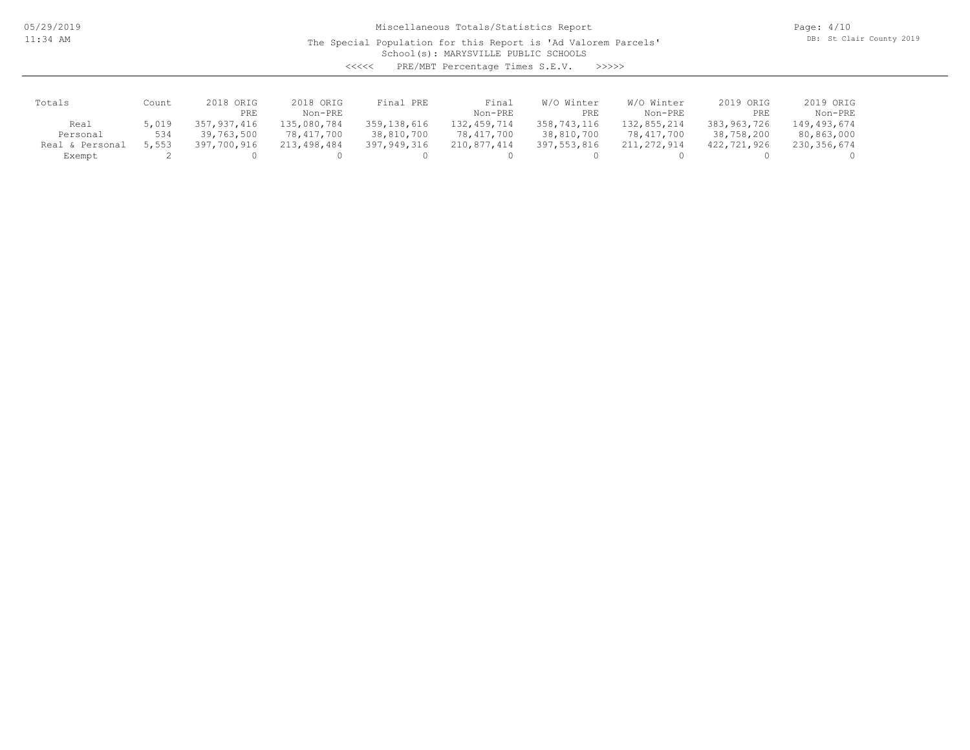The Special Population for this Report is 'Ad Valorem Parcels'

Page: 4/10 DB: St Clair County 2019

School(s): MARYSVILLE PUBLIC SCHOOLS

| くくくくく | PRE/MBT Percentage Times S.E.V. |  |  | >>>>> |
|-------|---------------------------------|--|--|-------|
|-------|---------------------------------|--|--|-------|

| Totals          | Count | 2018 ORIG   | 2018 ORIG   | Final PRE   | Final       | W/O Winter  | W/O Winter  | 2019 ORIG   | 2019 ORIG   |
|-----------------|-------|-------------|-------------|-------------|-------------|-------------|-------------|-------------|-------------|
|                 |       | PRE         | Non-PRE     |             | Non-PRE     | PRE         | Non-PRE     | PRE         | Non-PRE     |
| Real            | 5,019 | 357,937,416 | 135,080,784 | 359,138,616 | 132,459,714 | 358,743,116 | 132,855,214 | 383,963,726 | 149,493,674 |
| Personal        | 534   | 39,763,500  | 78,417,700  | 38,810,700  | 78,417,700  | 38,810,700  | 78,417,700  | 38,758,200  | 80,863,000  |
| Real & Personal | 5,553 | 397,700,916 | 213,498,484 | 397,949,316 | 210,877,414 | 397,553,816 | 211,272,914 | 422,721,926 | 230,356,674 |
| Exempt          |       |             |             |             |             |             |             |             |             |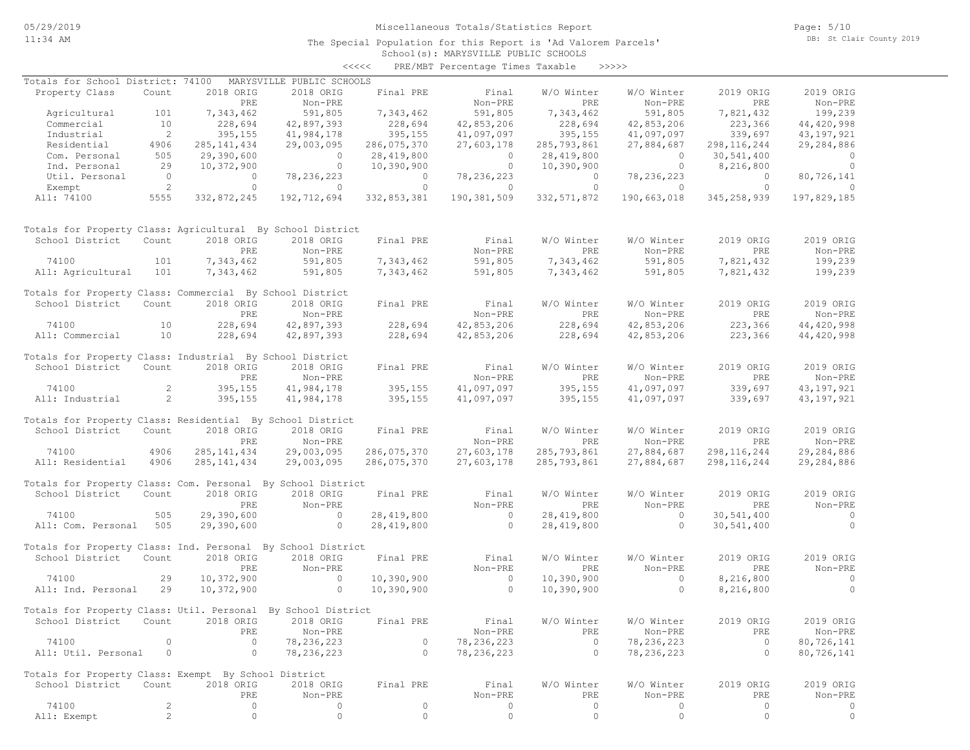School(s): MARYSVILLE PUBLIC SCHOOLS The Special Population for this Report is 'Ad Valorem Parcels' Page: 5/10 DB: St Clair County 2019

#### <<<<< PRE/MBT Percentage Times Taxable >>>>>

| Totals for School District: 74100                            |                          |                | MARYSVILLE PUBLIC SCHOOLS |                              |                           |                |                                           |                |                |
|--------------------------------------------------------------|--------------------------|----------------|---------------------------|------------------------------|---------------------------|----------------|-------------------------------------------|----------------|----------------|
| Property Class                                               | Count                    | 2018 ORIG      | 2018 ORIG                 | Final PRE                    | Final                     | W/O Winter     | W/O Winter                                | 2019 ORIG      | 2019 ORIG      |
|                                                              |                          | PRE            | Non-PRE                   |                              | Non-PRE                   | PRE            | Non-PRE                                   | PRE            | Non-PRE        |
| Agricultural                                                 | 101                      | 7,343,462      | 591,805                   | 7,343,462                    | 591,805                   | 7,343,462      | 591,805                                   | 7,821,432      | 199,239        |
| Commercial                                                   | 10                       | 228,694        | 42,897,393                |                              | 42,853,206                | 228,694        | 42,853,206                                | 223,366        | 44,420,998     |
| Industrial                                                   | $\overline{\phantom{0}}$ | 395,155        | 41,984,178                | 228,694<br>395,155           | 41,097,097                | 395,155        | 41,097,097                                | 339,697        | 43,197,921     |
| Residential                                                  | 4906                     | 285, 141, 434  | 29,003,095                | 286,075,370                  | 27,603,178                | 285,793,861    | 27,884,687                                | 298, 116, 244  | 29,284,886     |
| Com. Personal                                                | 505                      | 29,390,600     | $\overline{0}$            | 28,419,800                   | $\overline{0}$            | 28, 419, 800   | $\overline{0}$                            | 30,541,400     | $\overline{0}$ |
| Ind. Personal                                                | 29                       | 10,372,900     | $\overline{0}$            |                              | $\overline{0}$            | 10,390,900     | $\overline{0}$                            | 8,216,800      | $\overline{0}$ |
|                                                              | $\overline{0}$           | $\overline{0}$ |                           | 10,390,900<br>$\overline{0}$ |                           | $\overline{0}$ |                                           | $\overline{0}$ |                |
| Util. Personal                                               |                          | $\Omega$       | 78,236,223                |                              | 78, 236, 223              |                | 78, 236, 223                              | $\bigcirc$     | 80,726,141     |
| Exempt                                                       | $\overline{2}$           |                | $\overline{0}$            | $\circ$<br>332,853,381       | $\overline{0}$            | $\circ$        | $\overline{0}$<br>332,571,872 190,663,018 |                | $\overline{0}$ |
| All: 74100                                                   | 5555                     | 332,872,245    | 192,712,694               |                              | 190,381,509               |                |                                           | 345,258,939    | 197,829,185    |
| Totals for Property Class: Agricultural By School District   |                          |                |                           |                              |                           |                |                                           |                |                |
| School District                                              | Count                    | 2018 ORIG      | 2018 ORIG                 | Final PRE                    | Final                     | W/O Winter     | W/O Winter                                | 2019 ORIG      | 2019 ORIG      |
|                                                              |                          | PRE            | Non-PRE                   |                              | Non-PRE                   | PRE            | Non-PRE                                   | PRE            | Non-PRE        |
| 74100                                                        | 101                      | 7,343,462      | 591,805                   | 7,343,462                    | 591,805                   | 7,343,462      | 591,805                                   | 7,821,432      | 199,239        |
| All: Agricultural                                            | 101                      | 7,343,462      | 591,805                   | 7,343,462                    | 591,805                   | 7,343,462      | 591,805                                   | 7,821,432      | 199,239        |
| Totals for Property Class: Commercial By School District     |                          |                |                           |                              |                           |                |                                           |                |                |
| School District                                              | Count                    | 2018 ORIG      | 2018 ORIG                 | Final PRE                    | Final                     | W/O Winter     | W/O Winter                                | 2019 ORIG      | 2019 ORIG      |
|                                                              |                          | PRE            | Non-PRE                   |                              | Non-PRE                   | PRE            | Non-PRE                                   | PRE            | Non-PRE        |
| 74100                                                        | 10                       | 228,694        | 42,897,393                | 228,694                      | 42,853,206                | 228,694        | 42,853,206                                | 223,366        | 44, 420, 998   |
| All: Commercial                                              | 10                       | 228,694        | 42,897,393                | 228,694                      | 42,853,206                | 228,694        | 42,853,206                                | 223,366        | 44, 420, 998   |
|                                                              |                          |                |                           |                              |                           |                |                                           |                |                |
| Totals for Property Class: Industrial By School District     |                          |                |                           |                              |                           |                |                                           |                |                |
| School District                                              | Count                    | 2018 ORIG      | 2018 ORIG                 | Final PRE                    | Final                     | W/O Winter     | W/O Winter                                | 2019 ORIG      | 2019 ORIG      |
|                                                              |                          | PRE            | Non-PRE                   |                              | Non-PRE                   | PRE            | Non-PRE                                   | PRE            | Non-PRE        |
| 74100                                                        | $\overline{2}$           | 395,155        | 41,984,178                | $395, 155$<br>395 155        | 41,097,097                | 395,155        | 41,097,097                                | 339,697        | 43, 197, 921   |
| All: Industrial                                              | 2                        | 395,155        | 41,984,178                | 395,155                      | 41,097,097                | 395,155        | 41,097,097                                | 339,697        | 43, 197, 921   |
|                                                              |                          |                |                           |                              |                           |                |                                           |                |                |
| Totals for Property Class: Residential By School District    |                          |                |                           |                              |                           |                |                                           |                |                |
| School District                                              | Count                    | 2018 ORIG      | 2018 ORIG                 | Final PRE                    | Final                     | W/O Winter     | W/O Winter                                | 2019 ORIG      | 2019 ORIG      |
|                                                              |                          | PRE            | Non-PRE                   |                              | Non-PRE                   | PRE            | Non-PRE                                   | PRE            | Non-PRE        |
| 74100                                                        | 4906                     | 285, 141, 434  | 29,003,095                | 286,075,370                  | 27,603,178                | 285,793,861    | 27,884,687                                | 298, 116, 244  | 29,284,886     |
| All: Residential                                             | 4906                     | 285, 141, 434  | 29,003,095                | 286,075,370                  | 27,603,178                | 285,793,861    | 27,884,687                                | 298, 116, 244  | 29,284,886     |
| Totals for Property Class: Com. Personal By School District  |                          |                |                           |                              |                           |                |                                           |                |                |
| School District                                              | Count                    | 2018 ORIG      | 2018 ORIG                 | Final PRE                    | Final                     | W/O Winter     | W/O Winter                                | 2019 ORIG      | 2019 ORIG      |
|                                                              |                          | PRE            | Non-PRE                   |                              |                           | PRE            | Non-PRE                                   | PRE            | Non-PRE        |
|                                                              | 505                      |                | $\sim$ 0                  |                              | Non-PRE<br>$\overline{0}$ |                | $\overline{0}$                            |                | $\sim$ 0       |
| 74100                                                        |                          | 29,390,600     |                           | 28,419,800                   |                           | 28,419,800     |                                           | 30,541,400     |                |
| All: Com. Personal 505                                       |                          | 29,390,600     | $\overline{0}$            | 28,419,800                   | $\overline{0}$            | 28,419,800     | $\circ$                                   | 30,541,400     | $\overline{0}$ |
| Totals for Property Class: Ind. Personal By School District  |                          |                |                           |                              |                           |                |                                           |                |                |
| School District                                              | Count                    | 2018 ORIG      | 2018 ORIG                 | Final PRE                    | Final                     | W/O Winter     | W/O Winter                                | 2019 ORIG      | 2019 ORIG      |
|                                                              |                          | PRE            | Non-PRE                   |                              | Non-PRE                   | PRE            | Non-PRE                                   | PRE            | Non-PRE        |
| 74100                                                        | 29                       | 10,372,900     | $\overline{0}$            | 10,390,900                   | $\overline{0}$            | 10,390,900     | $\circ$                                   | 8,216,800      | $\overline{0}$ |
| All: Ind. Personal                                           | 29                       | 10,372,900     | $\Omega$                  | 10,390,900                   | $\overline{0}$            | 10,390,900     | $\Omega$                                  | 8,216,800      | $\Omega$       |
|                                                              |                          |                |                           |                              |                           |                |                                           |                |                |
| Totals for Property Class: Util. Personal By School District |                          |                |                           |                              |                           |                |                                           |                |                |
| School District Count 2018 ORIG 2018 ORIG Final PRE          |                          |                |                           |                              | Final                     | W/O Winter     | W/O Winter                                | 2019 ORIG      | 2019 ORIG      |
|                                                              |                          | PRE            | Non-PRE                   |                              | Non-PRE                   | PRE            | Non-PRE                                   | PRE            | Non-PRE        |
| 74100                                                        | 0                        | $\circ$        | 78, 236, 223              | $\circ$                      | 78,236,223                | $\circ$        | 78,236,223                                | $\circ$        | 80,726,141     |
| All: Util. Personal                                          | $\circ$                  | $\circ$        | 78,236,223                | $\circ$                      | 78,236,223                | $\circ$        | 78, 236, 223                              | $\circ$        | 80,726,141     |
|                                                              |                          |                |                           |                              |                           |                |                                           |                |                |
| Totals for Property Class: Exempt By School District         |                          |                |                           |                              |                           |                |                                           |                |                |
| School District                                              | Count                    | 2018 ORIG      | 2018 ORIG                 | Final PRE                    | Final                     | W/O Winter     | W/O Winter                                | 2019 ORIG      | 2019 ORIG      |
|                                                              |                          | PRE            | Non-PRE                   |                              | Non-PRE                   | PRE            | Non-PRE                                   | PRE            | Non-PRE        |
| 74100                                                        | $\mathbf{2}$             | $\circ$        | 0                         | $\circ$                      | 0                         | $\circ$        | 0                                         | $\circ$        | 0              |
| All: Exempt                                                  | $\mathbf{2}^{\prime}$    | $\circ$        | $\circ$                   | $\circ$                      | $\circ$                   | $\circ$        | $\circ$                                   | $\circ$        | $\circ$        |
|                                                              |                          |                |                           |                              |                           |                |                                           |                |                |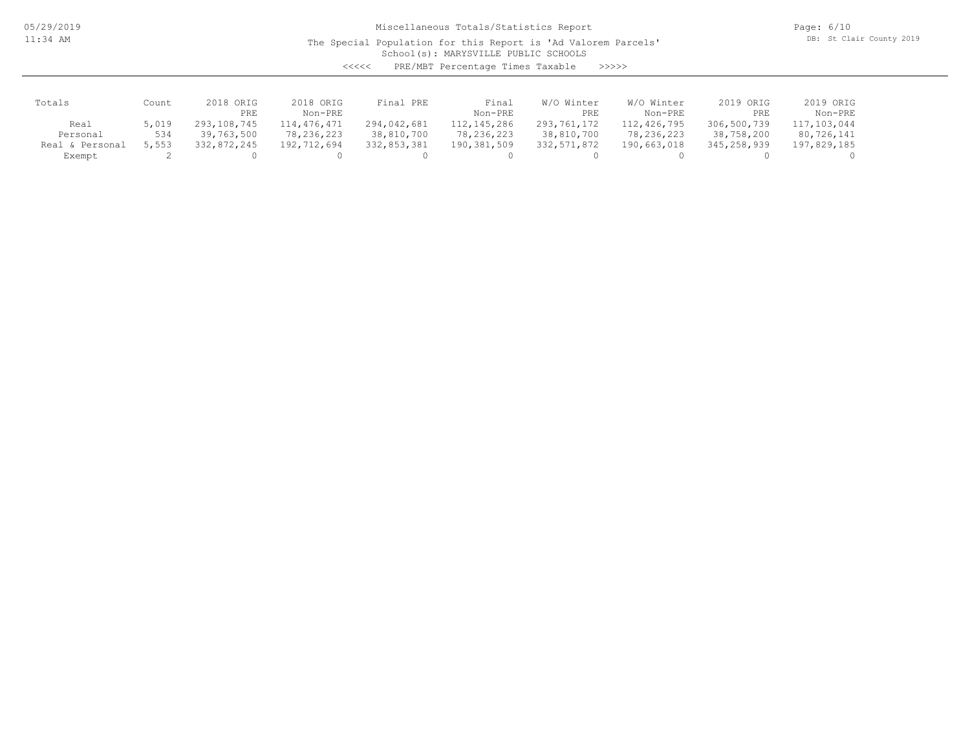05/29/2019 11:34 AM

## Miscellaneous Totals/Statistics Report

The Special Population for this Report is 'Ad Valorem Parcels'

Page: 6/10 DB: St Clair County 2019

School(s): MARYSVILLE PUBLIC SCHOOLS

<<<<< PRE/MBT Percentage Times Taxable >>>>>

| Totals          | Count | 2018 ORIG   | 2018 ORIG   | Final PRE   | Final        | W/O Winter  | W/O Winter  | 2019 ORIG   | 2019 ORIG   |
|-----------------|-------|-------------|-------------|-------------|--------------|-------------|-------------|-------------|-------------|
|                 |       | PRE         | Non-PRE     |             | Non-PRE      | PRE         | Non-PRE     | PRE         | Non-PRE     |
| Real            | 5,019 | 293,108,745 | 114,476,471 | 294,042,681 | 112,145,286  | 293,761,172 | 112,426,795 | 306,500,739 | 117,103,044 |
| Personal        | 534   | 39,763,500  | 78,236,223  | 38,810,700  | 78, 236, 223 | 38,810,700  | 78,236,223  | 38,758,200  | 80,726,141  |
| Real & Personal | 5,553 | 332,872,245 | 192,712,694 | 332,853,381 | 190,381,509  | 332,571,872 | 190,663,018 | 345,258,939 | 197,829,185 |
| Exempt          |       |             |             |             |              |             |             |             |             |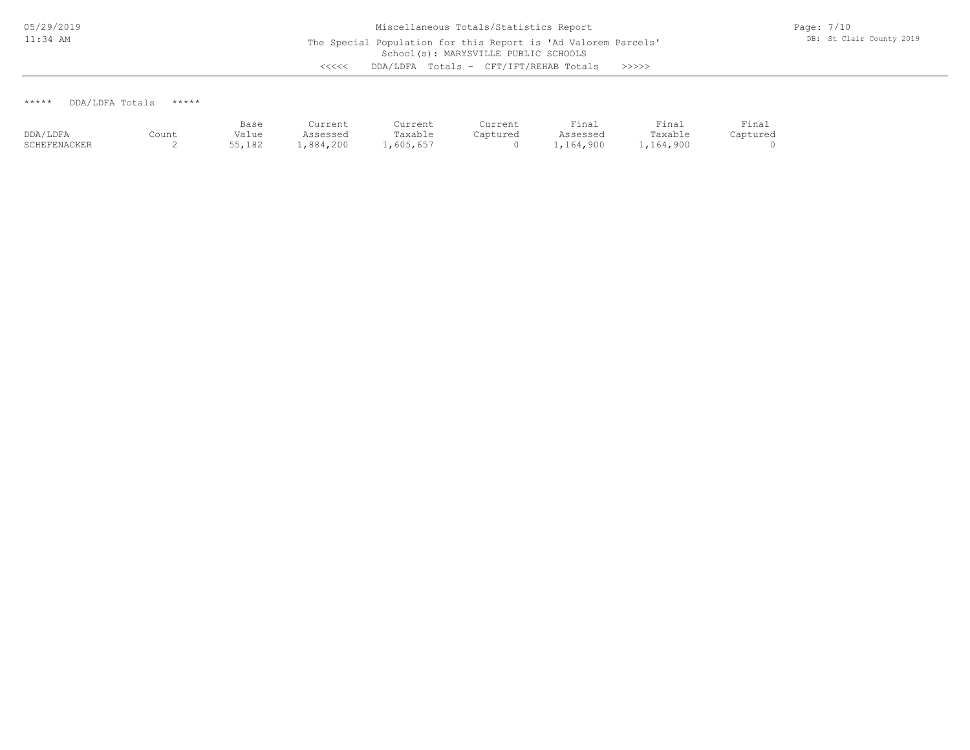\*\*\*\*\* DDA/LDFA Totals \*\*\*\*\*

|              |       | Base   | Current   | Current  | Current  | Final     | Final     | Final    |
|--------------|-------|--------|-----------|----------|----------|-----------|-----------|----------|
| DDA/LDFA     | Count | Value  | Assessed  | Taxable  | Captured | Assessed  | Taxable   | Captured |
| SCHEFENACKER | ≏     | 55,182 | 1,884,200 | ,605,657 |          | 1,164,900 | 1,164,900 |          |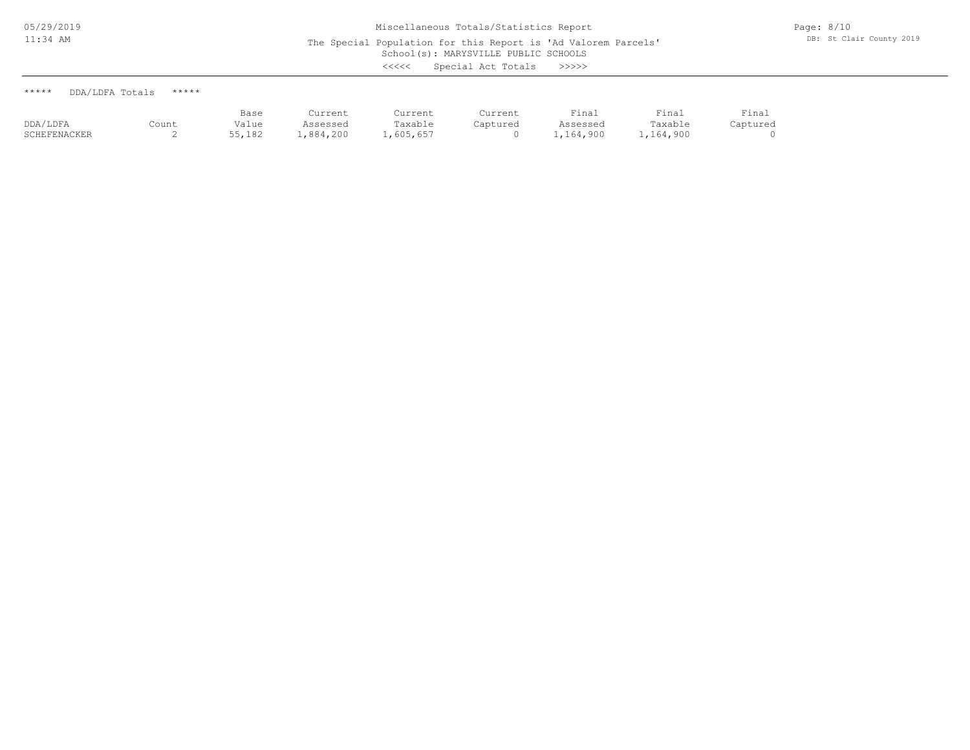| DDA/LDFA Totals<br>***** | ***** |
|--------------------------|-------|
|--------------------------|-------|

|              |       | Base   | Current   | Current   | Current  | Final     | Final     | Final    |
|--------------|-------|--------|-----------|-----------|----------|-----------|-----------|----------|
| DDA/LDFA     | Count | Value  | Assessed  | Taxable   | Captured | Assessed  | Taxable   | Captured |
| SCHEFENACKER |       | 55,182 | .,884,200 | 1,605,657 |          | .,164,900 | 1,164,900 |          |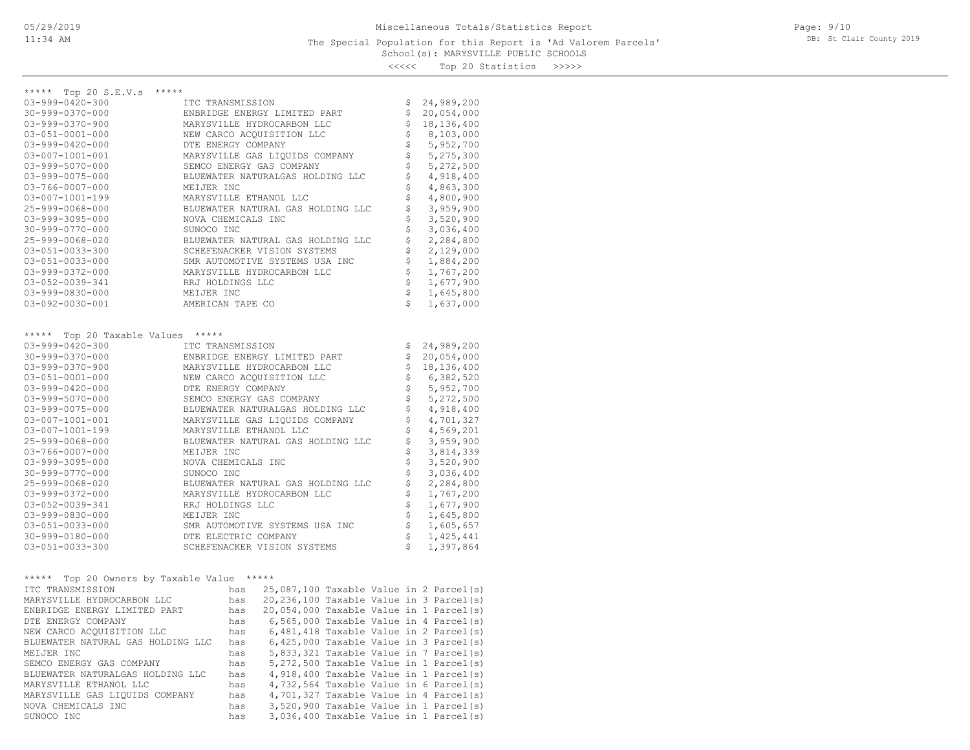#### School(s): MARYSVILLE PUBLIC SCHOOLS The Special Population for this Report is 'Ad Valorem Parcels'

Page: 9/10 DB: St Clair County 2019

<<<<< Top 20 Statistics >>>>>

| *****                                           |                                                                                         |     |                                         |           |           |          |  |             |  |
|-------------------------------------------------|-----------------------------------------------------------------------------------------|-----|-----------------------------------------|-----------|-----------|----------|--|-------------|--|
| ***** Top 20 S.E.V.s<br>$03 - 999 - 0420 - 300$ | ITC TRANSMISSION                                                                        |     |                                         |           |           | \$       |  | 24,989,200  |  |
| $30 - 999 - 0370 - 000$                         |                                                                                         |     | ENBRIDGE ENERGY LIMITED PART            |           |           | \$       |  | 20,054,000  |  |
| 03-999-0370-900                                 |                                                                                         |     | MARYSVILLE HYDROCARBON LLC              |           |           | \$       |  | 18,136,400  |  |
| $03 - 051 - 0001 - 000$                         | NEW CARCO ACQUISITION LLC                                                               | \$  |                                         | 8,103,000 |           |          |  |             |  |
| $03 - 999 - 0420 - 000$                         |                                                                                         |     | \$                                      |           | 5,952,700 |          |  |             |  |
| 03-007-1001-001                                 | DTE ENERGY COMPANY<br>MARYSVILLE GAS LIQUIDS COMPANY                                    |     |                                         |           |           |          |  | 5,275,300   |  |
| $03 - 999 - 5070 - 000$                         |                                                                                         |     | SEMCO ENERGY GAS COMPANY                |           |           | \$<br>\$ |  | 5,272,500   |  |
| 03-999-0075-000                                 |                                                                                         |     | BLUEWATER NATURALGAS HOLDING LLC        |           |           | \$       |  | 4,918,400   |  |
| 03-766-0007-000                                 | MEIJER INC                                                                              |     |                                         |           |           | \$       |  | 4,863,300   |  |
| 03-007-1001-199                                 |                                                                                         |     | MARYSVILLE ETHANOL LLC                  |           |           | \$       |  | 4,800,900   |  |
| 25-999-0068-000                                 |                                                                                         |     | BLUEWATER NATURAL GAS HOLDING LLC       |           |           |          |  | 3,959,900   |  |
| 03-999-3095-000                                 | NOVA CHEMICALS INC                                                                      |     |                                         |           |           | \$<br>\$ |  | 3,520,900   |  |
| $30 - 999 - 0770 - 000$                         | SUNOCO INC                                                                              |     |                                         |           |           | \$       |  | 3,036,400   |  |
| 25-999-0068-020                                 |                                                                                         |     | BLUEWATER NATURAL GAS HOLDING LLC       |           |           | \$       |  | 2,284,800   |  |
| $03 - 051 - 0033 - 300$                         |                                                                                         |     | SCHEFENACKER VISION SYSTEMS             |           |           | \$       |  | 2,129,000   |  |
| 03-051-0033-000                                 |                                                                                         |     | SMR AUTOMOTIVE SYSTEMS USA INC          |           |           | \$       |  | 1,884,200   |  |
| 03-999-0372-000                                 |                                                                                         |     | MARYSVILLE HYDROCARBON LLC              |           |           | \$       |  | 1,767,200   |  |
| 03-052-0039-341                                 | RRJ HOLDINGS LLC                                                                        |     |                                         |           |           | \$       |  | 1,677,900   |  |
|                                                 |                                                                                         |     |                                         |           |           | \$       |  |             |  |
| $03 - 999 - 0830 - 000$                         | MEIJER INC                                                                              |     |                                         |           |           | \$       |  | 1,645,800   |  |
| $03 - 092 - 0030 - 001$                         | AMERICAN TAPE CO                                                                        |     |                                         |           |           |          |  | 1,637,000   |  |
|                                                 |                                                                                         |     |                                         |           |           |          |  |             |  |
| $***$ * * * *<br>Top 20 Taxable Values          | *****                                                                                   |     |                                         |           |           |          |  |             |  |
| $03 - 999 - 0420 - 300$                         | ITC TRANSMISSION                                                                        |     |                                         |           |           | \$       |  | 24,989,200  |  |
| $30 - 999 - 0370 - 000$                         |                                                                                         |     | ENBRIDGE ENERGY LIMITED PART            |           |           | \$       |  | 20,054,000  |  |
| $03 - 999 - 0370 - 900$                         |                                                                                         |     | MARYSVILLE HYDROCARBON LLC              |           |           | \$       |  | 18,136,400  |  |
| $03 - 051 - 0001 - 000$                         |                                                                                         |     | NEW CARCO ACQUISITION LLC               |           |           | \$       |  | 6,382,520   |  |
| $03 - 999 - 0420 - 000$                         | DTE ENERGY COMPANY                                                                      |     |                                         |           |           | \$       |  | 5,952,700   |  |
| $03 - 999 - 5070 - 000$                         |                                                                                         |     | SEMCO ENERGY GAS COMPANY                |           |           | \$       |  | 5,272,500   |  |
| 03-999-0075-000                                 |                                                                                         |     | BLUEWATER NATURALGAS HOLDING LLC        |           |           | \$       |  | 4,918,400   |  |
| 03-007-1001-001                                 |                                                                                         |     | MARYSVILLE GAS LIQUIDS COMPANY          |           |           | \$       |  | 4,701,327   |  |
| $03 - 007 - 1001 - 199$                         |                                                                                         |     | MARYSVILLE ETHANOL LLC                  |           |           | \$       |  | 4,569,201   |  |
| 25-999-0068-000                                 |                                                                                         |     | BLUEWATER NATURAL GAS HOLDING LLC       |           |           | \$       |  | 3,959,900   |  |
| 03-766-0007-000                                 | MEIJER INC                                                                              |     |                                         |           |           | \$       |  | 3,814,339   |  |
| 03-999-3095-000                                 | NOVA CHEMICALS INC                                                                      |     |                                         |           |           | \$       |  | 3,520,900   |  |
| $30 - 999 - 0770 - 000$                         | SUNOCO INC                                                                              |     |                                         |           |           | \$       |  | 3,036,400   |  |
| 25-999-0068-020                                 |                                                                                         |     | BLUEWATER NATURAL GAS HOLDING LLC       |           |           | \$       |  | 2,284,800   |  |
| 03-999-0372-000                                 |                                                                                         |     | MARYSVILLE HYDROCARBON LLC              |           |           | \$       |  | 1,767,200   |  |
| 03-052-0039-341                                 | RRJ HOLDINGS LLC                                                                        |     |                                         |           |           | \$       |  | 1,677,900   |  |
| $03 - 999 - 0830 - 000$                         | MEIJER INC                                                                              |     |                                         |           |           | \$       |  | 1,645,800   |  |
| 03-051-0033-000                                 |                                                                                         |     | SMR AUTOMOTIVE SYSTEMS USA INC          |           |           | \$       |  | 1,605,657   |  |
| 30-999-0180-000                                 |                                                                                         |     | DTE ELECTRIC COMPANY                    |           |           | \$       |  | 1, 425, 441 |  |
| 03-051-0033-300                                 |                                                                                         |     | SCHEFENACKER VISION SYSTEMS             |           |           | \$       |  | 1,397,864   |  |
|                                                 |                                                                                         |     |                                         |           |           |          |  |             |  |
| Top 20 Owners by Taxable Value *****<br>*****   |                                                                                         |     |                                         |           |           |          |  |             |  |
| ITC TRANSMISSION                                |                                                                                         | has | 25,087,100 Taxable Value in 2 Parcel(s) |           |           |          |  |             |  |
| MARYSVILLE HYDROCARBON LLC                      |                                                                                         | has | 20,236,100 Taxable Value in 3 Parcel(s) |           |           |          |  |             |  |
| ENBRIDGE ENERGY LIMITED PART                    | has 20,054,000 Taxable Value in 1 Parcel(s)                                             |     |                                         |           |           |          |  |             |  |
| DTE ENERGY COMPANY                              | 6,565,000 Taxable Value in 4 Parcel(s)<br>has                                           |     |                                         |           |           |          |  |             |  |
| NEW CARCO ACQUISITION LLC                       | 6,481,418 Taxable Value in 2 Parcel(s)<br>has                                           |     |                                         |           |           |          |  |             |  |
| BLUEWATER NATURAL GAS HOLDING LLC               | 6,425,000 Taxable Value in 3 Parcel(s)<br>has                                           |     |                                         |           |           |          |  |             |  |
| MEIJER INC                                      | 5,833,321 Taxable Value in 7 Parcel(s)<br>has                                           |     |                                         |           |           |          |  |             |  |
| SEMCO ENERGY GAS COMPANY                        | 5,272,500 Taxable Value in 1 Parcel(s)<br>has                                           |     |                                         |           |           |          |  |             |  |
| BLUEWATER NATURALGAS HOLDING LLC                | 4,918,400 Taxable Value in 1 Parcel(s)<br>has                                           |     |                                         |           |           |          |  |             |  |
| MARYSVILLE ETHANOL LLC                          | 4,732,564 Taxable Value in 6 Parcel(s)<br>has                                           |     |                                         |           |           |          |  |             |  |
| MARYSVILLE GAS LIQUIDS COMPANY                  | 4,701,327 Taxable Value in 4 Parcel(s)<br>has<br>3,520,900 Taxable Value in 1 Parcel(s) |     |                                         |           |           |          |  |             |  |
| NOVA CHEMICALS INC                              |                                                                                         | has |                                         |           |           |          |  |             |  |
| SUNOCO INC                                      |                                                                                         | has | 3,036,400 Taxable Value in 1 Parcel(s)  |           |           |          |  |             |  |